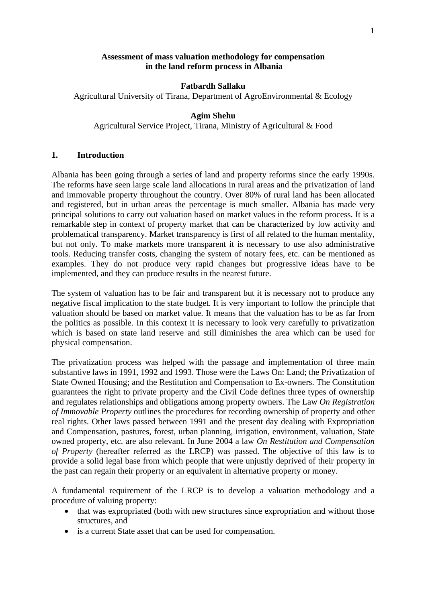#### **Assessment of mass valuation methodology for compensation in the land reform process in Albania**

#### **Fatbardh Sallaku**

Agricultural University of Tirana, Department of AgroEnvironmental & Ecology

#### **Agim Shehu**

Agricultural Service Project, Tirana, Ministry of Agricultural & Food

#### **1. Introduction**

Albania has been going through a series of land and property reforms since the early 1990s. The reforms have seen large scale land allocations in rural areas and the privatization of land and immovable property throughout the country. Over 80% of rural land has been allocated and registered, but in urban areas the percentage is much smaller. Albania has made very principal solutions to carry out valuation based on market values in the reform process. It is a remarkable step in context of property market that can be characterized by low activity and problematical transparency. Market transparency is first of all related to the human mentality, but not only. To make markets more transparent it is necessary to use also administrative tools. Reducing transfer costs, changing the system of notary fees, etc. can be mentioned as examples. They do not produce very rapid changes but progressive ideas have to be implemented, and they can produce results in the nearest future.

The system of valuation has to be fair and transparent but it is necessary not to produce any negative fiscal implication to the state budget. It is very important to follow the principle that valuation should be based on market value. It means that the valuation has to be as far from the politics as possible. In this context it is necessary to look very carefully to privatization which is based on state land reserve and still diminishes the area which can be used for physical compensation.

The privatization process was helped with the passage and implementation of three main substantive laws in 1991, 1992 and 1993. Those were the Laws On: Land; the Privatization of State Owned Housing; and the Restitution and Compensation to Ex-owners. The Constitution guarantees the right to private property and the Civil Code defines three types of ownership and regulates relationships and obligations among property owners. The Law *On Registration of Immovable Property* outlines the procedures for recording ownership of property and other real rights. Other laws passed between 1991 and the present day dealing with Expropriation and Compensation, pastures, forest, urban planning, irrigation, environment, valuation, State owned property, etc. are also relevant. In June 2004 a law *On Restitution and Compensation of Property* (hereafter referred as the LRCP) was passed. The objective of this law is to provide a solid legal base from which people that were unjustly deprived of their property in the past can regain their property or an equivalent in alternative property or money.

A fundamental requirement of the LRCP is to develop a valuation methodology and a procedure of valuing property:

- that was expropriated (both with new structures since expropriation and without those structures, and
- is a current State asset that can be used for compensation.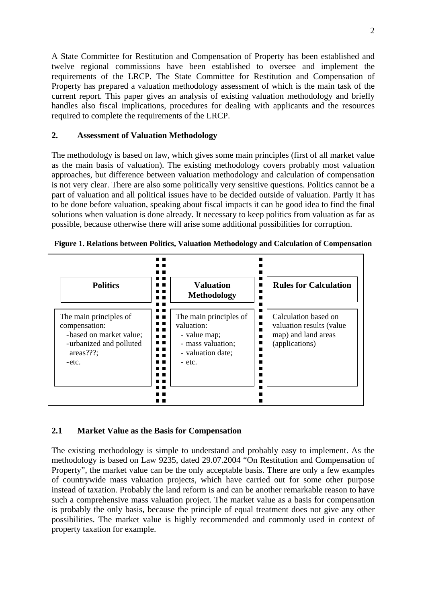A State Committee for Restitution and Compensation of Property has been established and twelve regional commissions have been established to oversee and implement the requirements of the LRCP. The State Committee for Restitution and Compensation of Property has prepared a valuation methodology assessment of which is the main task of the current report. This paper gives an analysis of existing valuation methodology and briefly handles also fiscal implications, procedures for dealing with applicants and the resources required to complete the requirements of the LRCP.

### **2. Assessment of Valuation Methodology**

The methodology is based on law, which gives some main principles (first of all market value as the main basis of valuation). The existing methodology covers probably most valuation approaches, but difference between valuation methodology and calculation of compensation is not very clear. There are also some politically very sensitive questions. Politics cannot be a part of valuation and all political issues have to be decided outside of valuation. Partly it has to be done before valuation, speaking about fiscal impacts it can be good idea to find the final solutions when valuation is done already. It necessary to keep politics from valuation as far as possible, because otherwise there will arise some additional possibilities for corruption.



**Figure 1. Relations between Politics, Valuation Methodology and Calculation of Compensation** 

# **2.1 Market Value as the Basis for Compensation**

The existing methodology is simple to understand and probably easy to implement. As the methodology is based on Law 9235, dated 29.07.2004 "On Restitution and Compensation of Property", the market value can be the only acceptable basis. There are only a few examples of countrywide mass valuation projects, which have carried out for some other purpose instead of taxation. Probably the land reform is and can be another remarkable reason to have such a comprehensive mass valuation project. The market value as a basis for compensation is probably the only basis, because the principle of equal treatment does not give any other possibilities. The market value is highly recommended and commonly used in context of property taxation for example.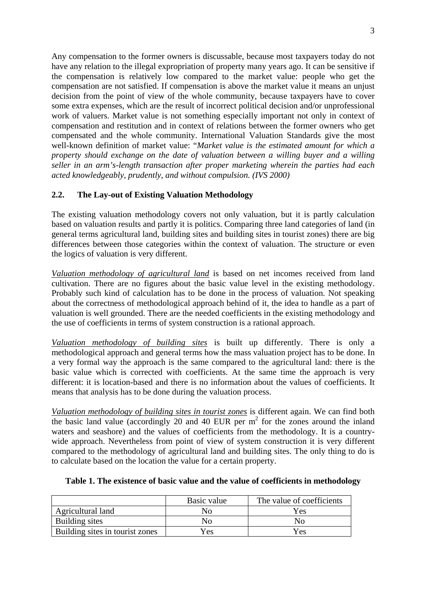Any compensation to the former owners is discussable, because most taxpayers today do not have any relation to the illegal expropriation of property many years ago. It can be sensitive if the compensation is relatively low compared to the market value: people who get the compensation are not satisfied. If compensation is above the market value it means an unjust decision from the point of view of the whole community, because taxpayers have to cover some extra expenses, which are the result of incorrect political decision and/or unprofessional work of valuers. Market value is not something especially important not only in context of compensation and restitution and in context of relations between the former owners who get compensated and the whole community. International Valuation Standards give the most well-known definition of market value: "*Market value is the estimated amount for which a property should exchange on the date of valuation between a willing buyer and a willing seller in an arm's-length transaction after proper marketing wherein the parties had each acted knowledgeably, prudently, and without compulsion. (IVS 2000)* 

# **2.2. The Lay-out of Existing Valuation Methodology**

The existing valuation methodology covers not only valuation, but it is partly calculation based on valuation results and partly it is politics. Comparing three land categories of land (in general terms agricultural land, building sites and building sites in tourist zones) there are big differences between those categories within the context of valuation. The structure or even the logics of valuation is very different.

*Valuation methodology of agricultural land* is based on net incomes received from land cultivation. There are no figures about the basic value level in the existing methodology. Probably such kind of calculation has to be done in the process of valuation. Not speaking about the correctness of methodological approach behind of it, the idea to handle as a part of valuation is well grounded. There are the needed coefficients in the existing methodology and the use of coefficients in terms of system construction is a rational approach.

*Valuation methodology of building sites* is built up differently. There is only a methodological approach and general terms how the mass valuation project has to be done. In a very formal way the approach is the same compared to the agricultural land: there is the basic value which is corrected with coefficients. At the same time the approach is very different: it is location-based and there is no information about the values of coefficients. It means that analysis has to be done during the valuation process.

*Valuation methodology of building sites in tourist zones* is different again. We can find both the basic land value (accordingly 20 and 40 EUR per  $m<sup>2</sup>$  for the zones around the inland waters and seashore) and the values of coefficients from the methodology. It is a countrywide approach. Nevertheless from point of view of system construction it is very different compared to the methodology of agricultural land and building sites. The only thing to do is to calculate based on the location the value for a certain property.

|                                 | Basic value | The value of coefficients |
|---------------------------------|-------------|---------------------------|
| Agricultural land               | Nο          | Yes                       |
| Building sites                  | Nο          | Nο                        |
| Building sites in tourist zones | Yes         | Yes                       |

### **Table 1. The existence of basic value and the value of coefficients in methodology**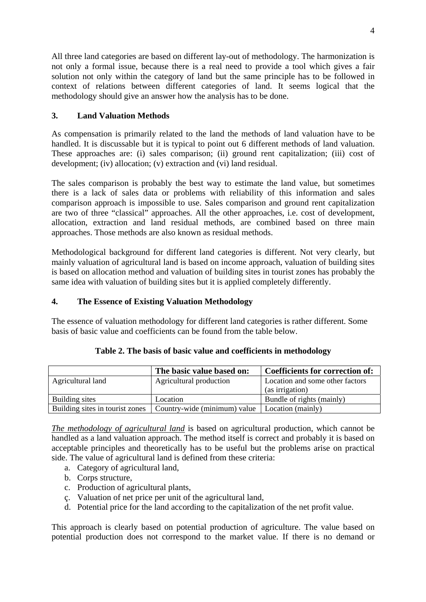All three land categories are based on different lay-out of methodology. The harmonization is not only a formal issue, because there is a real need to provide a tool which gives a fair solution not only within the category of land but the same principle has to be followed in context of relations between different categories of land. It seems logical that the methodology should give an answer how the analysis has to be done.

# **3. Land Valuation Methods**

As compensation is primarily related to the land the methods of land valuation have to be handled. It is discussable but it is typical to point out 6 different methods of land valuation. These approaches are: (i) sales comparison; (ii) ground rent capitalization; (iii) cost of development; (iv) allocation; (v) extraction and (vi) land residual.

The sales comparison is probably the best way to estimate the land value, but sometimes there is a lack of sales data or problems with reliability of this information and sales comparison approach is impossible to use. Sales comparison and ground rent capitalization are two of three "classical" approaches. All the other approaches, i.e. cost of development, allocation, extraction and land residual methods, are combined based on three main approaches. Those methods are also known as residual methods.

Methodological background for different land categories is different. Not very clearly, but mainly valuation of agricultural land is based on income approach, valuation of building sites is based on allocation method and valuation of building sites in tourist zones has probably the same idea with valuation of building sites but it is applied completely differently.

# **4. The Essence of Existing Valuation Methodology**

The essence of valuation methodology for different land categories is rather different. Some basis of basic value and coefficients can be found from the table below.

|                                 | The basic value based on:    | <b>Coefficients for correction of:</b> |
|---------------------------------|------------------------------|----------------------------------------|
| Agricultural land               | Agricultural production      | Location and some other factors        |
|                                 |                              | (as irrigation)                        |
| Building sites                  | Location                     | Bundle of rights (mainly)              |
| Building sites in tourist zones | Country-wide (minimum) value | Location (mainly)                      |

| Table 2. The basis of basic value and coefficients in methodology |  |  |  |  |  |  |  |  |  |  |
|-------------------------------------------------------------------|--|--|--|--|--|--|--|--|--|--|
|-------------------------------------------------------------------|--|--|--|--|--|--|--|--|--|--|

*The methodology of agricultural land* is based on agricultural production, which cannot be handled as a land valuation approach. The method itself is correct and probably it is based on acceptable principles and theoretically has to be useful but the problems arise on practical side. The value of agricultural land is defined from these criteria:

- a. Category of agricultural land,
- b. Corps structure,
- c. Production of agricultural plants,
- ç. Valuation of net price per unit of the agricultural land,
- d. Potential price for the land according to the capitalization of the net profit value.

This approach is clearly based on potential production of agriculture. The value based on potential production does not correspond to the market value. If there is no demand or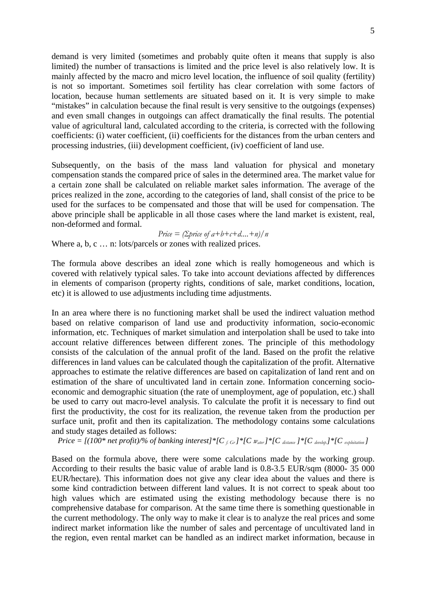demand is very limited (sometimes and probably quite often it means that supply is also limited) the number of transactions is limited and the price level is also relatively low. It is mainly affected by the macro and micro level location, the influence of soil quality (fertility) is not so important. Sometimes soil fertility has clear correlation with some factors of location, because human settlements are situated based on it. It is very simple to make "mistakes" in calculation because the final result is very sensitive to the outgoings (expenses) and even small changes in outgoings can affect dramatically the final results. The potential value of agricultural land, calculated according to the criteria, is corrected with the following coefficients: (i) water coefficient, (ii) coefficients for the distances from the urban centers and processing industries, (iii) development coefficient, (iv) coefficient of land use.

Subsequently, on the basis of the mass land valuation for physical and monetary compensation stands the compared price of sales in the determined area. The market value for a certain zone shall be calculated on reliable market sales information. The average of the prices realized in the zone, according to the categories of land, shall consist of the price to be used for the surfaces to be compensated and those that will be used for compensation. The above principle shall be applicable in all those cases where the land market is existent, real, non-deformed and formal.

*Price = (Σprice of a+b+c+d....+n)/n*

Where a, b, c ... n: lots/parcels or zones with realized prices.

The formula above describes an ideal zone which is really homogeneous and which is covered with relatively typical sales. To take into account deviations affected by differences in elements of comparison (property rights, conditions of sale, market conditions, location, etc) it is allowed to use adjustments including time adjustments.

In an area where there is no functioning market shall be used the indirect valuation method based on relative comparison of land use and productivity information, socio-economic information, etc. Techniques of market simulation and interpolation shall be used to take into account relative differences between different zones. The principle of this methodology consists of the calculation of the annual profit of the land. Based on the profit the relative differences in land values can be calculated though the capitalization of the profit. Alternative approaches to estimate the relative differences are based on capitalization of land rent and on estimation of the share of uncultivated land in certain zone. Information concerning socioeconomic and demographic situation (the rate of unemployment, age of population, etc.) shall be used to carry out macro-level analysis. To calculate the profit it is necessary to find out first the productivity, the cost for its realization, the revenue taken from the production per surface unit, profit and then its capitalization. The methodology contains some calculations and study stages detailed as follows:

*Price* =  $[(100*net profit)/\% of banking interest)*[C_{f\cdot Gr}]*[C_{w_{\text{after}}}*[C_{distance}]*[C_{\text{develop}}]*[C_{expholation}]$ 

Based on the formula above, there were some calculations made by the working group. According to their results the basic value of arable land is 0.8-3.5 EUR/sqm (8000- 35 000 EUR/hectare). This information does not give any clear idea about the values and there is some kind contradiction between different land values. It is not correct to speak about too high values which are estimated using the existing methodology because there is no comprehensive database for comparison. At the same time there is something questionable in the current methodology. The only way to make it clear is to analyze the real prices and some indirect market information like the number of sales and percentage of uncultivated land in the region, even rental market can be handled as an indirect market information, because in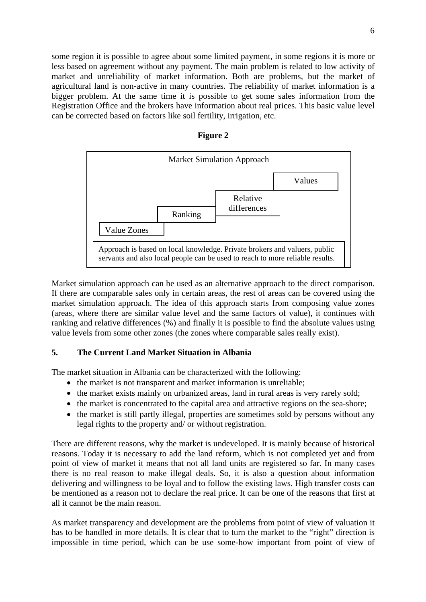some region it is possible to agree about some limited payment, in some regions it is more or less based on agreement without any payment. The main problem is related to low activity of market and unreliability of market information. Both are problems, but the market of agricultural land is non-active in many countries. The reliability of market information is a bigger problem. At the same time it is possible to get some sales information from the Registration Office and the brokers have information about real prices. This basic value level can be corrected based on factors like soil fertility, irrigation, etc.

| іонг |  |
|------|--|
|------|--|



Market simulation approach can be used as an alternative approach to the direct comparison. If there are comparable sales only in certain areas, the rest of areas can be covered using the market simulation approach. The idea of this approach starts from composing value zones (areas, where there are similar value level and the same factors of value), it continues with ranking and relative differences (%) and finally it is possible to find the absolute values using value levels from some other zones (the zones where comparable sales really exist).

### **5. The Current Land Market Situation in Albania**

The market situation in Albania can be characterized with the following:

- the market is not transparent and market information is unreliable:
- the market exists mainly on urbanized areas, land in rural areas is very rarely sold;
- the market is concentrated to the capital area and attractive regions on the sea-shore;
- the market is still partly illegal, properties are sometimes sold by persons without any legal rights to the property and/ or without registration.

There are different reasons, why the market is undeveloped. It is mainly because of historical reasons. Today it is necessary to add the land reform, which is not completed yet and from point of view of market it means that not all land units are registered so far. In many cases there is no real reason to make illegal deals. So, it is also a question about information delivering and willingness to be loyal and to follow the existing laws. High transfer costs can be mentioned as a reason not to declare the real price. It can be one of the reasons that first at all it cannot be the main reason.

As market transparency and development are the problems from point of view of valuation it has to be handled in more details. It is clear that to turn the market to the "right" direction is impossible in time period, which can be use some-how important from point of view of